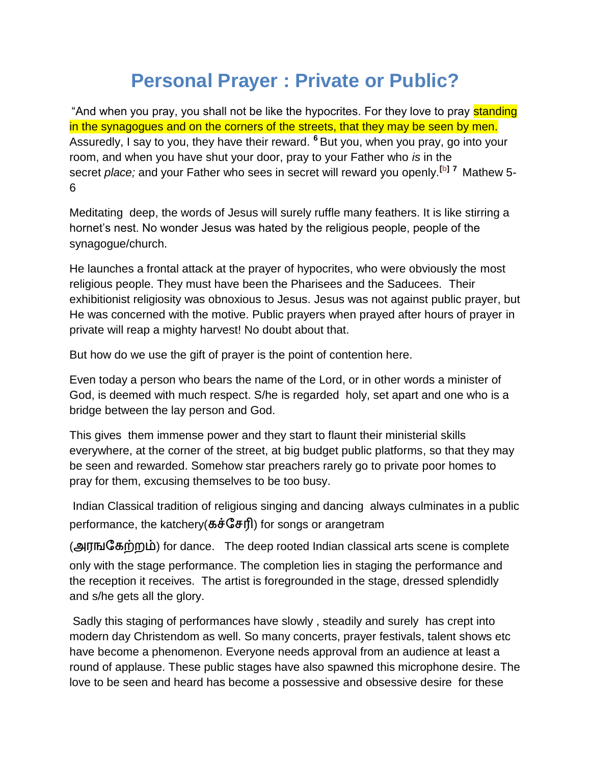## **Personal Prayer : Private or Public?**

"And when you pray, you shall not be like the hypocrites. For they love to pray standing in the synagogues and on the corners of the streets, that they may be seen by men. Assuredly, I say to you, they have their reward. **<sup>6</sup>** But you, when you pray, go into your room, and when you have shut your door, pray to your Father who *is* in the secret *place;* and your Father who sees in secret will reward you openly.**[\[b\]](http://www.biblegateway.com/passage/?search=mathew%206&version=NKJV#fen-NKJV-23289b) <sup>7</sup>** Mathew 5- 6

Meditating deep, the words of Jesus will surely ruffle many feathers. It is like stirring a hornet's nest. No wonder Jesus was hated by the religious people, people of the synagogue/church.

He launches a frontal attack at the prayer of hypocrites, who were obviously the most religious people. They must have been the Pharisees and the Saducees. Their exhibitionist religiosity was obnoxious to Jesus. Jesus was not against public prayer, but He was concerned with the motive. Public prayers when prayed after hours of prayer in private will reap a mighty harvest! No doubt about that.

But how do we use the gift of prayer is the point of contention here.

Even today a person who bears the name of the Lord, or in other words a minister of God, is deemed with much respect. S/he is regarded holy, set apart and one who is a bridge between the lay person and God.

This gives them immense power and they start to flaunt their ministerial skills everywhere, at the corner of the street, at big budget public platforms, so that they may be seen and rewarded. Somehow star preachers rarely go to private poor homes to pray for them, excusing themselves to be too busy.

Indian Classical tradition of religious singing and dancing always culminates in a public performance, the katchery( $\vec{\sigma} \cdot \vec{\sigma} \cdot \vec{\sigma}$ ) for songs or arangetram

(அரங்கேற்றம்) for dance. The deep rooted Indian classical arts scene is complete only with the stage performance. The completion lies in staging the performance and the reception it receives. The artist is foregrounded in the stage, dressed splendidly and s/he gets all the glory.

Sadly this staging of performances have slowly , steadily and surely has crept into modern day Christendom as well. So many concerts, prayer festivals, talent shows etc have become a phenomenon. Everyone needs approval from an audience at least a round of applause. These public stages have also spawned this microphone desire. The love to be seen and heard has become a possessive and obsessive desire for these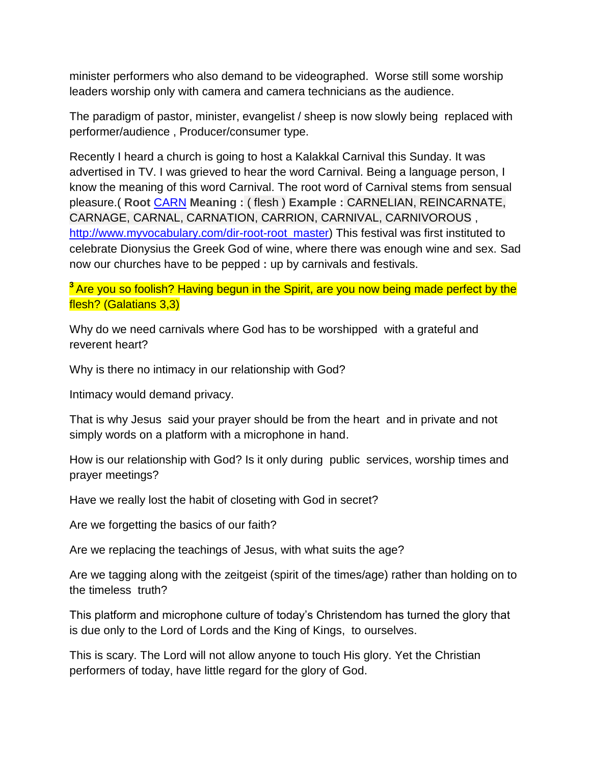minister performers who also demand to be videographed. Worse still some worship leaders worship only with camera and camera technicians as the audience.

The paradigm of pastor, minister, evangelist / sheep is now slowly being replaced with performer/audience , Producer/consumer type.

Recently I heard a church is going to host a Kalakkal Carnival this Sunday. It was advertised in TV. I was grieved to hear the word Carnival. Being a language person, I know the meaning of this word Carnival. The root word of Carnival stems from sensual pleasure.( **Root** [CARN](http://www.myvocabulary.com/index.php?dir=puzzles&file=attempt_puzzles&root_id=1032) **Meaning :** ( flesh ) **Example :** CARNELIAN, REINCARNATE, CARNAGE, CARNAL, CARNATION, CARRION, CARNIVAL, CARNIVOROUS , [http://www.myvocabulary.com/dir-root-root\\_master\)](http://www.myvocabulary.com/dir-root-root_master) This festival was first instituted to celebrate Dionysius the Greek God of wine, where there was enough wine and sex. Sad now our churches have to be pepped **:** up by carnivals and festivals.

**<sup>3</sup>** Are you so foolish? Having begun in the Spirit, are you now being made perfect by the flesh? (Galatians 3,3)

Why do we need carnivals where God has to be worshipped with a grateful and reverent heart?

Why is there no intimacy in our relationship with God?

Intimacy would demand privacy.

That is why Jesus said your prayer should be from the heart and in private and not simply words on a platform with a microphone in hand.

How is our relationship with God? Is it only during public services, worship times and prayer meetings?

Have we really lost the habit of closeting with God in secret?

Are we forgetting the basics of our faith?

Are we replacing the teachings of Jesus, with what suits the age?

Are we tagging along with the zeitgeist (spirit of the times/age) rather than holding on to the timeless truth?

This platform and microphone culture of today's Christendom has turned the glory that is due only to the Lord of Lords and the King of Kings, to ourselves.

This is scary. The Lord will not allow anyone to touch His glory. Yet the Christian performers of today, have little regard for the glory of God.